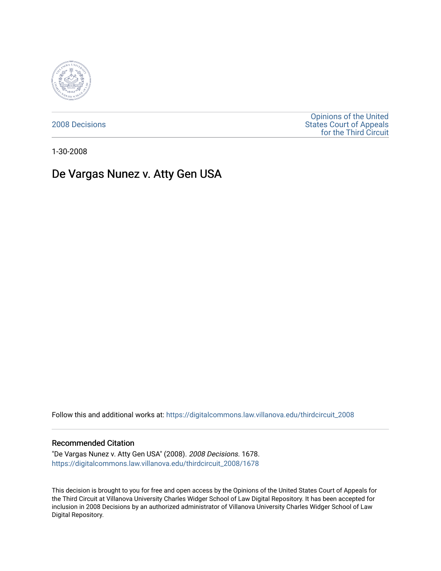

[2008 Decisions](https://digitalcommons.law.villanova.edu/thirdcircuit_2008)

[Opinions of the United](https://digitalcommons.law.villanova.edu/thirdcircuit)  [States Court of Appeals](https://digitalcommons.law.villanova.edu/thirdcircuit)  [for the Third Circuit](https://digitalcommons.law.villanova.edu/thirdcircuit) 

1-30-2008

# De Vargas Nunez v. Atty Gen USA

Follow this and additional works at: [https://digitalcommons.law.villanova.edu/thirdcircuit\\_2008](https://digitalcommons.law.villanova.edu/thirdcircuit_2008?utm_source=digitalcommons.law.villanova.edu%2Fthirdcircuit_2008%2F1678&utm_medium=PDF&utm_campaign=PDFCoverPages) 

#### Recommended Citation

"De Vargas Nunez v. Atty Gen USA" (2008). 2008 Decisions. 1678. [https://digitalcommons.law.villanova.edu/thirdcircuit\\_2008/1678](https://digitalcommons.law.villanova.edu/thirdcircuit_2008/1678?utm_source=digitalcommons.law.villanova.edu%2Fthirdcircuit_2008%2F1678&utm_medium=PDF&utm_campaign=PDFCoverPages) 

This decision is brought to you for free and open access by the Opinions of the United States Court of Appeals for the Third Circuit at Villanova University Charles Widger School of Law Digital Repository. It has been accepted for inclusion in 2008 Decisions by an authorized administrator of Villanova University Charles Widger School of Law Digital Repository.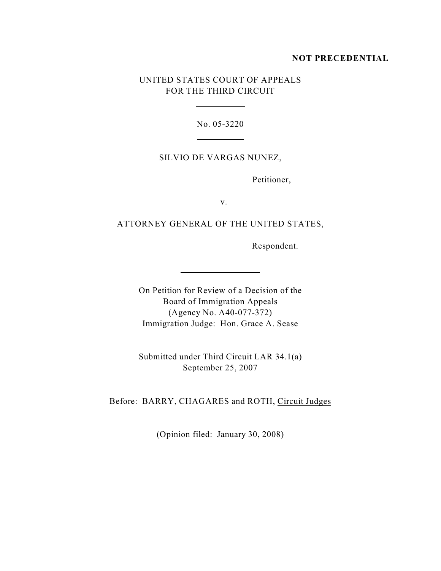#### **NOT PRECEDENTIAL**

# UNITED STATES COURT OF APPEALS FOR THE THIRD CIRCUIT

 $\overline{a}$ 

 $\overline{a}$ 

 $\overline{a}$ 

 $\overline{a}$ 

No. 05-3220

#### SILVIO DE VARGAS NUNEZ,

Petitioner,

v.

## ATTORNEY GENERAL OF THE UNITED STATES,

Respondent.

On Petition for Review of a Decision of the Board of Immigration Appeals (Agency No. A40-077-372) Immigration Judge: Hon. Grace A. Sease

Submitted under Third Circuit LAR 34.1(a) September 25, 2007

Before: BARRY, CHAGARES and ROTH, Circuit Judges

(Opinion filed: January 30, 2008)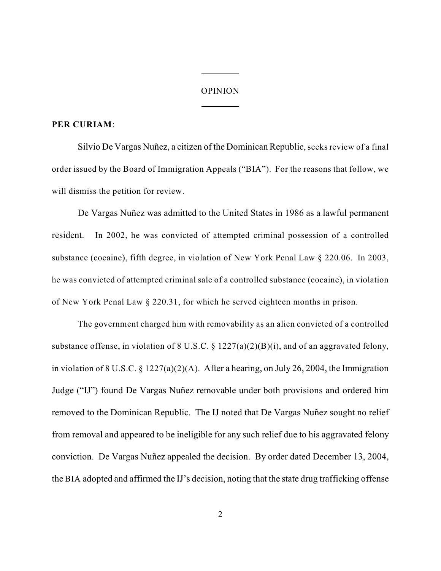#### OPINION

 $\overline{a}$ 

 $\overline{a}$ 

### **PER CURIAM**:

Silvio De Vargas Nuñez, a citizen of the Dominican Republic, seeks review of a final order issued by the Board of Immigration Appeals ("BIA"). For the reasons that follow, we will dismiss the petition for review.

De Vargas Nuñez was admitted to the United States in 1986 as a lawful permanent resident. In 2002, he was convicted of attempted criminal possession of a controlled substance (cocaine), fifth degree, in violation of New York Penal Law § 220.06. In 2003, he was convicted of attempted criminal sale of a controlled substance (cocaine), in violation of New York Penal Law § 220.31, for which he served eighteen months in prison.

The government charged him with removability as an alien convicted of a controlled substance offense, in violation of 8 U.S.C.  $\S 1227(a)(2)(B)(i)$ , and of an aggravated felony, in violation of 8 U.S.C. § 1227(a)(2)(A). After a hearing, on July 26, 2004, the Immigration Judge ("IJ") found De Vargas Nuñez removable under both provisions and ordered him removed to the Dominican Republic. The IJ noted that De Vargas Nuñez sought no relief from removal and appeared to be ineligible for any such relief due to his aggravated felony conviction. De Vargas Nuñez appealed the decision. By order dated December 13, 2004, the BIA adopted and affirmed the IJ's decision, noting that the state drug trafficking offense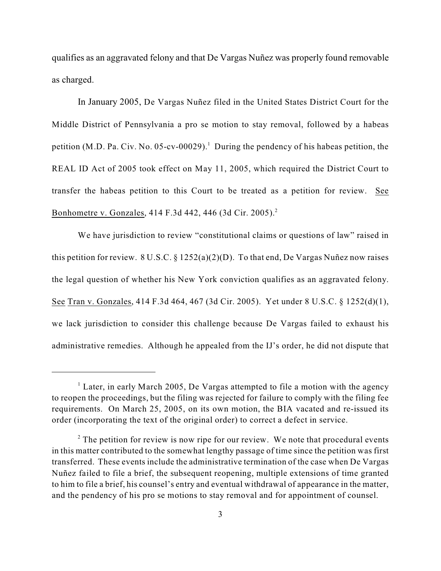qualifies as an aggravated felony and that De Vargas Nuñez was properly found removable as charged.

In January 2005, De Vargas Nuñez filed in the United States District Court for the Middle District of Pennsylvania a pro se motion to stay removal, followed by a habeas petition (M.D. Pa. Civ. No. 05-cv-00029).<sup>1</sup> During the pendency of his habeas petition, the REAL ID Act of 2005 took effect on May 11, 2005, which required the District Court to transfer the habeas petition to this Court to be treated as a petition for review. See Bonhometre v. Gonzales, 414 F.3d 442, 446 (3d Cir. 2005).<sup>2</sup>

We have jurisdiction to review "constitutional claims or questions of law" raised in this petition for review.  $8 \text{ U.S.C.} \$   $\frac{1252(a)(2)(D)}{D}$ . To that end, De Vargas Nuñez now raises the legal question of whether his New York conviction qualifies as an aggravated felony. See Tran v. Gonzales, 414 F.3d 464, 467 (3d Cir. 2005). Yet under 8 U.S.C. § 1252(d)(1), we lack jurisdiction to consider this challenge because De Vargas failed to exhaust his administrative remedies. Although he appealed from the IJ's order, he did not dispute that

 $\frac{1}{2}$  Later, in early March 2005, De Vargas attempted to file a motion with the agency to reopen the proceedings, but the filing was rejected for failure to comply with the filing fee requirements. On March 25, 2005, on its own motion, the BIA vacated and re-issued its order (incorporating the text of the original order) to correct a defect in service.

 $2^{\circ}$  The petition for review is now ripe for our review. We note that procedural events in this matter contributed to the somewhat lengthy passage of time since the petition was first transferred. These events include the administrative termination of the case when De Vargas Nuñez failed to file a brief, the subsequent reopening, multiple extensions of time granted to him to file a brief, his counsel's entry and eventual withdrawal of appearance in the matter, and the pendency of his pro se motions to stay removal and for appointment of counsel.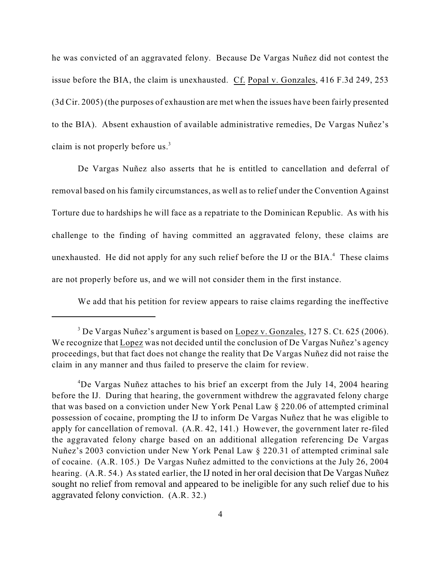he was convicted of an aggravated felony. Because De Vargas Nuñez did not contest the issue before the BIA, the claim is unexhausted. Cf. Popal v. Gonzales, 416 F.3d 249, 253 (3d Cir. 2005) (the purposes of exhaustion are met when the issues have been fairly presented to the BIA). Absent exhaustion of available administrative remedies, De Vargas Nuñez's claim is not properly before us.<sup>3</sup>

De Vargas Nuñez also asserts that he is entitled to cancellation and deferral of removal based on his family circumstances, as well as to relief under the Convention Against Torture due to hardships he will face as a repatriate to the Dominican Republic. As with his challenge to the finding of having committed an aggravated felony, these claims are unexhausted. He did not apply for any such relief before the IJ or the  $BIA.4$ <sup>4</sup> These claims are not properly before us, and we will not consider them in the first instance.

We add that his petition for review appears to raise claims regarding the ineffective

<sup>&</sup>lt;sup>3</sup> De Vargas Nuñez's argument is based on Lopez v. Gonzales, 127 S. Ct. 625 (2006). We recognize that Lopez was not decided until the conclusion of De Vargas Nuñez's agency proceedings, but that fact does not change the reality that De Vargas Nuñez did not raise the claim in any manner and thus failed to preserve the claim for review.

<sup>&</sup>lt;sup>4</sup>De Vargas Nuñez attaches to his brief an excerpt from the July 14, 2004 hearing before the IJ. During that hearing, the government withdrew the aggravated felony charge that was based on a conviction under New York Penal Law § 220.06 of attempted criminal possession of cocaine, prompting the IJ to inform De Vargas Nuñez that he was eligible to apply for cancellation of removal. (A.R. 42, 141.) However, the government later re-filed the aggravated felony charge based on an additional allegation referencing De Vargas Nuñez's 2003 conviction under New York Penal Law § 220.31 of attempted criminal sale of cocaine. (A.R. 105.) De Vargas Nuñez admitted to the convictions at the July 26, 2004 hearing. (A.R. 54.) As stated earlier, the IJ noted in her oral decision that De Vargas Nuñez sought no relief from removal and appeared to be ineligible for any such relief due to his aggravated felony conviction. (A.R. 32.)